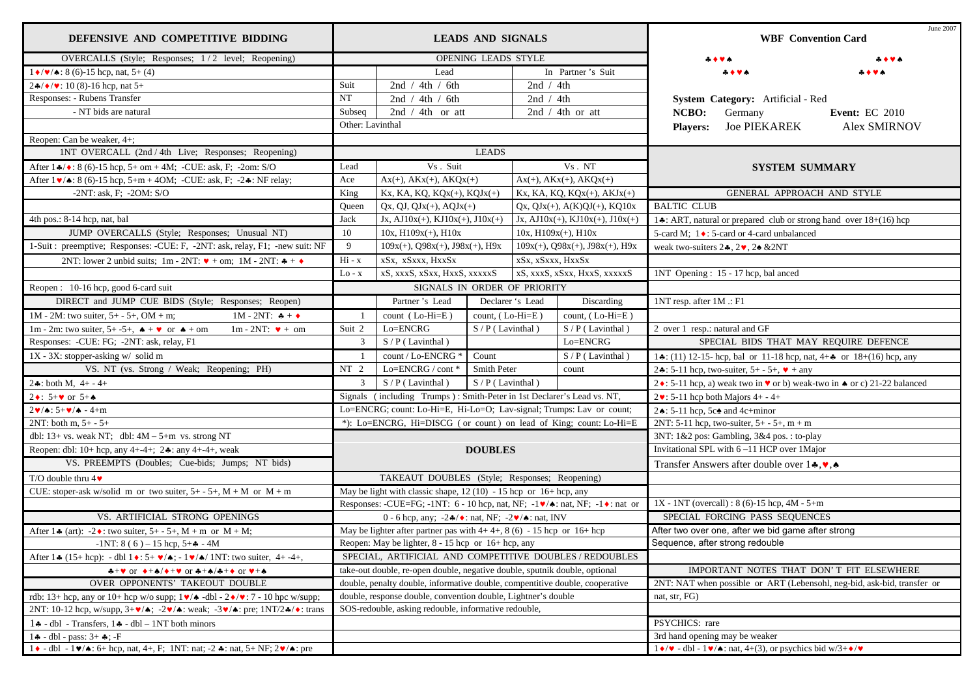| DEFENSIVE AND COMPETITIVE BIDDING                                                                                                                           | <b>LEADS AND SIGNALS</b>                                                     |                                                                                                                              |                                           |                                                                         |                                                           | June 2007<br><b>WBF</b> Convention Card                                   |                                                                                                      |                       |
|-------------------------------------------------------------------------------------------------------------------------------------------------------------|------------------------------------------------------------------------------|------------------------------------------------------------------------------------------------------------------------------|-------------------------------------------|-------------------------------------------------------------------------|-----------------------------------------------------------|---------------------------------------------------------------------------|------------------------------------------------------------------------------------------------------|-----------------------|
| OVERCALLS (Style; Responses; 1/2 level; Reopening)                                                                                                          | <b>OPENING LEADS STYLE</b>                                                   |                                                                                                                              |                                           |                                                                         |                                                           |                                                                           |                                                                                                      |                       |
| $1 \cdot \sqrt{\bullet}$ : 8 (6)-15 hcp, nat, 5+ (4)                                                                                                        | Lead                                                                         |                                                                                                                              |                                           | In Partner's Suit                                                       |                                                           |                                                                           |                                                                                                      |                       |
| $2\frac{4}{9}$ ( $\sqrt{9}$ : 10 (8)-16 hcp, nat 5+                                                                                                         | Suit<br>2nd / 4th / 6th                                                      |                                                                                                                              | 2nd $/ 4th$                               |                                                                         |                                                           |                                                                           |                                                                                                      |                       |
| Responses: - Rubens Transfer                                                                                                                                | $\rm{NT}$                                                                    | 2nd / 4th / 6th                                                                                                              |                                           | 2nd $/ 4th$                                                             |                                                           |                                                                           | System Category: Artificial - Red                                                                    |                       |
| - NT bids are natural                                                                                                                                       | Subseq                                                                       | 2nd $/ 4th$ or att                                                                                                           |                                           | 2nd $/$ 4th or att                                                      |                                                           | NCBO:                                                                     | Germany                                                                                              | <b>Event: EC 2010</b> |
|                                                                                                                                                             | Other: Lavinthal                                                             |                                                                                                                              |                                           | <b>Players:</b>                                                         | <b>Joe PIEKAREK</b>                                       | <b>Alex SMIRNOV</b>                                                       |                                                                                                      |                       |
| Reopen: Can be weaker, 4+;                                                                                                                                  |                                                                              |                                                                                                                              |                                           |                                                                         |                                                           |                                                                           |                                                                                                      |                       |
| 1NT OVERCALL (2nd / 4th Live; Responses; Reopening)                                                                                                         | <b>LEADS</b>                                                                 |                                                                                                                              |                                           |                                                                         |                                                           |                                                                           |                                                                                                      |                       |
| After $1\cdot\!\!\!\!\star/\bullet$ : 8 (6)-15 hcp, 5+ om + 4M; -CUE: ask, F; -2om: S/O                                                                     | Lead                                                                         | Vs. Suit<br>Vs. NT                                                                                                           |                                           | <b>SYSTEM SUMMARY</b>                                                   |                                                           |                                                                           |                                                                                                      |                       |
| After 1 v/ $\triangle$ : 8 (6)-15 hcp, 5+m + 4OM; -CUE: ask, F; -2.: NF relay;                                                                              | Ace                                                                          | $Ax(+), AKx(+), AKQx(+)$                                                                                                     | $Ax(+)$ , $AKx(+)$ , $AKQx(+)$            |                                                                         |                                                           |                                                                           |                                                                                                      |                       |
| $-2NT$ : ask, F; $-2OM$ : S/O                                                                                                                               | King                                                                         | Kx, KA, KQ, KQx(+), KQJx(+)                                                                                                  |                                           | $Kx$ , KA, KQ, KQ $x(+)$ , AKJ $x(+)$                                   |                                                           |                                                                           | GENERAL APPROACH AND STYLE                                                                           |                       |
|                                                                                                                                                             | Queen                                                                        | $Qx, QJ, QJx(+), AQJx(+)$                                                                                                    |                                           |                                                                         | $Qx, QJx(+), A(K)QJ(+), KQ10x$                            | <b>BALTIC CLUB</b>                                                        |                                                                                                      |                       |
| 4th pos.: 8-14 hcp, nat, bal                                                                                                                                | Jack                                                                         | $Jx$ , AJ $10x(+)$ , KJ $10x(+)$ , J $10x(+)$                                                                                |                                           |                                                                         | $Jx$ , AJ $10x(+)$ , KJ $10x(+)$ , J $10x(+)$             | 14: ART, natural or prepared club or strong hand over 18+(16) hcp         |                                                                                                      |                       |
| JUMP OVERCALLS (Style; Responses; Unusual NT)                                                                                                               | 10                                                                           | $10x$ , $H109x(+)$ , $H10x$                                                                                                  |                                           | $10x$ , $H109x(+)$ , $H10x$                                             |                                                           | 5-card M; 1 ♦: 5-card or 4-card unbalanced                                |                                                                                                      |                       |
| 1-Suit : preemptive; Responses: -CUE: F, -2NT: ask, relay, F1; -new suit: NF                                                                                | 9                                                                            | $109x(+)$ , Q98 $x(+)$ , J98 $x(+)$ , H9x                                                                                    | $109x(+)$ , $Q98x(+)$ , $J98x(+)$ , $H9x$ |                                                                         |                                                           | weak two-suiters $2*, 2, 2, 2$ & 2NT                                      |                                                                                                      |                       |
| 2NT: lower 2 unbid suits; 1m - 2NT: $\triangledown +$ om; 1M - 2NT: $\clubsuit +$                                                                           | $Hi - x$                                                                     | xSx, xSxxx, HxxSx                                                                                                            | xSx, xSxxx, HxxSx                         |                                                                         |                                                           |                                                                           |                                                                                                      |                       |
|                                                                                                                                                             | Lo - x                                                                       | xS, xxxS, xSxx, HxxS, xxxxxS<br>xS, xxxS, xSxx, HxxS, xxxxxS                                                                 |                                           |                                                                         | 1NT Opening: 15 - 17 hcp, bal anced                       |                                                                           |                                                                                                      |                       |
| Reopen: 10-16 hcp, good 6-card suit                                                                                                                         |                                                                              | SIGNALS IN ORDER OF PRIORITY                                                                                                 |                                           |                                                                         |                                                           |                                                                           |                                                                                                      |                       |
| DIRECT and JUMP CUE BIDS (Style; Responses; Reopen)                                                                                                         |                                                                              | Partner's Lead                                                                                                               |                                           | Declarer 's Lead                                                        | Discarding                                                | 1NT resp. after 1M .: F1                                                  |                                                                                                      |                       |
| $1M - 2M$ : two suiter, 5+ - 5+, OM + m;<br>1M - 2NT: $* +$                                                                                                 |                                                                              | count (Lo-Hi=E)                                                                                                              | count, (Lo-Hi=E)                          |                                                                         | count, $(Lo-Hi=E)$                                        |                                                                           |                                                                                                      |                       |
| 1m - 2m: two suiter, 5+-5+, $\triangle + \triangleright \blacksquare$ or $\triangle +$ om<br>$1m - 2NT$ : $\blacktriangledown + om$                         | Suit 2                                                                       | Lo=ENCRG                                                                                                                     | $S/P($ Lavinthal)                         |                                                                         | $S/P$ (Lavinthal)                                         | 2 over 1 resp.: natural and GF                                            |                                                                                                      |                       |
| Responses: -CUE: FG; -2NT: ask, relay, F1                                                                                                                   | $\mathbf{3}$                                                                 | $S/P$ (Lavinthal)                                                                                                            |                                           | Lo=ENCRG                                                                | SPECIAL BIDS THAT MAY REQUIRE DEFENCE                     |                                                                           |                                                                                                      |                       |
| 1X - 3X: stopper-asking w/ solid m                                                                                                                          |                                                                              | count / Lo-ENCRG *                                                                                                           | Count                                     |                                                                         | $\overline{S}/P$ (Lavinthal)                              | 1.: (11) 12-15-hcp, bal or 11-18 hcp, nat, $4 + 4$ or $18+(16)$ hcp, any  |                                                                                                      |                       |
| VS. NT (vs. Strong / Weak; Reopening; PH)                                                                                                                   | NT <sub>2</sub>                                                              | Lo= $ENCRG / cont$ *                                                                                                         | Smith Peter<br>count                      |                                                                         | 2. : 5-11 hcp, two-suiter, $5+ - 5+$ , $\bullet$ + any    |                                                                           |                                                                                                      |                       |
| 24: both M, $4+-4+$                                                                                                                                         | $\mathbf{3}$                                                                 | $S/P($ Lavinthal)                                                                                                            | $S/P$ (Lavinthal)                         |                                                                         |                                                           | 2 ♦ : 5-11 hcp, a) weak two in ♥ or b) weak-two in ♦ or c) 21-22 balanced |                                                                                                      |                       |
| 2 $\bullet$ : 5+ $\bullet$ or 5+ $\bullet$                                                                                                                  |                                                                              | Signals (including Trumps): Smith-Peter in 1st Declarer's Lead vs. NT,                                                       |                                           |                                                                         | $2\cdot 5$ -11 hcp both Majors 4+ - 4+                    |                                                                           |                                                                                                      |                       |
| $2\blacktriangledown/\blacktriangle$ : 5+ $\blacktriangledown/\blacktriangle$ - 4+m                                                                         | Lo=ENCRG; count: Lo-Hi=E, Hi-Lo=O; Lav-signal; Trumps: Lav or count;         |                                                                                                                              |                                           | 2. $\div$ 5-11 hcp, 5c $\triangle$ and 4c+minor                         |                                                           |                                                                           |                                                                                                      |                       |
| $2NT: both m, 5+ - 5+$                                                                                                                                      | *): Lo=ENCRG, Hi=DISCG (or count) on lead of King; count: Lo-Hi=E            |                                                                                                                              |                                           | 2NT: 5-11 hcp, two-suiter, $5+ - 5+$ , m + m                            |                                                           |                                                                           |                                                                                                      |                       |
| dbl: $13+$ vs. weak NT; dbl: $4M - 5+m$ vs. strong NT                                                                                                       |                                                                              |                                                                                                                              |                                           | 3NT: 1&2 pos: Gambling, 3&4 pos.: to-play                               |                                                           |                                                                           |                                                                                                      |                       |
| Reopen: dbl: 10+ hcp, any 4+-4+; $2$ *: any 4+-4+, weak                                                                                                     |                                                                              |                                                                                                                              | <b>DOUBLES</b>                            |                                                                         |                                                           | Invitational SPL with 6-11 HCP over 1Major                                |                                                                                                      |                       |
| VS. PREEMPTS (Doubles; Cue-bids; Jumps; NT bids)                                                                                                            |                                                                              |                                                                                                                              |                                           |                                                                         | Transfer Answers after double over $1*, \bullet, \bullet$ |                                                                           |                                                                                                      |                       |
| T/O double thru $4\blacktriangledown$                                                                                                                       | TAKEAUT DOUBLES (Style; Responses; Reopening)                                |                                                                                                                              |                                           |                                                                         |                                                           |                                                                           |                                                                                                      |                       |
| CUE: stoper-ask w/solid m or two suiter, $5+ - 5+$ , $M + M$ or $M + m$                                                                                     |                                                                              | May be light with classic shape, $12(10) - 15$ hcp or $16 +$ hcp, any                                                        |                                           |                                                                         |                                                           |                                                                           |                                                                                                      |                       |
|                                                                                                                                                             |                                                                              | Responses: -CUE=FG; -1NT: 6 - 10 hcp, nat, NF; -1 $\blacktriangledown/\blacktriangle$ : nat, NF; -1 $\blacklozenge$ : nat or |                                           |                                                                         |                                                           |                                                                           | $1X - 1NT$ (overcall) : 8 (6)-15 hcp, 4M - 5+m                                                       |                       |
| VS. ARTIFICIAL STRONG OPENINGS                                                                                                                              |                                                                              | 0 - 6 hcp, any; $-2\cdot\sqrt{\bullet}$ : nat, NF; $-2\cdot\sqrt{\bullet}$ : nat, INV                                        |                                           |                                                                         |                                                           | SPECIAL FORCING PASS SEQUENCES                                            |                                                                                                      |                       |
| After 1.4 (art): -2.1 two suiter, 5+ - 5+, M + m or M + M;                                                                                                  | May be lighter after partner pas with $4+4+$ , $8(6) - 15$ hcp or $16+$ hcp  |                                                                                                                              |                                           |                                                                         |                                                           |                                                                           | After two over one, after we bid game after strong                                                   |                       |
| $-1NT: 8(6) - 15 hep, 5 + 4 - 4M$                                                                                                                           | Reopen: May be lighter, 8 - 15 hcp or 16+ hcp, any                           |                                                                                                                              |                                           |                                                                         |                                                           |                                                                           | Sequence, after strong redouble                                                                      |                       |
| After 1: (15+ hcp): - dbl 1: 5+ $\blacktriangleright$ / $\blacktriangle$ ; - 1 $\blacktriangleright$ / $\blacktriangle$ / 1NT: two suiter, 4+-4+,           | SPECIAL, ARTIFICIAL AND COMPETITIVE DOUBLES / REDOUBLES                      |                                                                                                                              |                                           |                                                                         |                                                           |                                                                           |                                                                                                      |                       |
| $A + \vee$ or $A + A / A + \vee$ or $A + A / A + \lozenge$ or $A + A$                                                                                       | take-out double, re-open double, negative double, sputnik double, optional   |                                                                                                                              |                                           | IMPORTANT NOTES THAT DON'T FIT ELSEWHERE                                |                                                           |                                                                           |                                                                                                      |                       |
| OVER OPPONENTS' TAKEOUT DOUBLE                                                                                                                              | double, penalty double, informative double, compentitive double, cooperative |                                                                                                                              |                                           | 2NT: NAT when possible or ART (Lebensohl, neg-bid, ask-bid, transfer or |                                                           |                                                                           |                                                                                                      |                       |
| rdb: 13+ hcp, any or 10+ hcp w/o supp; $1 \vee / \triangle$ -dbl - $2 \vee / \vee$ : 7 - 10 hpc w/supp;                                                     | double, response double, convention double, Lightner's double                |                                                                                                                              |                                           | nat, str, FG)                                                           |                                                           |                                                                           |                                                                                                      |                       |
| 2NT: 10-12 hcp, w/supp, $3+\mathbf{v}/\mathbf{A}$ ; $-2\mathbf{v}/\mathbf{A}$ : weak; $-3\mathbf{v}/\mathbf{A}$ : pre; $1NT/2\mathbf{A}/\mathbf{A}$ : trans | SOS-redouble, asking redouble, informative redouble,                         |                                                                                                                              |                                           |                                                                         |                                                           |                                                                           |                                                                                                      |                       |
| $1 \cdot -$ dbl - Transfers, $1 \cdot -$ dbl - 1NT both minors                                                                                              |                                                                              |                                                                                                                              |                                           |                                                                         |                                                           | PSYCHICS: rare                                                            |                                                                                                      |                       |
| $1 - 1 + - 1 = 1 - 1 + $                                                                                                                                    |                                                                              |                                                                                                                              |                                           | 3rd hand opening may be weaker                                          |                                                           |                                                                           |                                                                                                      |                       |
| $1 \cdot -$ dbl - $1 \cdot \cdot$ + $6 +$ hcp, nat, 4+, F; 1NT: nat; -2 $\cdot$ : nat, 5+ NF; 2 $\cdot$ +: pre                                              |                                                                              |                                                                                                                              |                                           |                                                                         |                                                           |                                                                           | $1 \cdot / \cdot \cdot$ - dbl - $1 \cdot / \cdot$ : nat, 4+(3), or psychics bid w/3+ $\cdot / \cdot$ |                       |